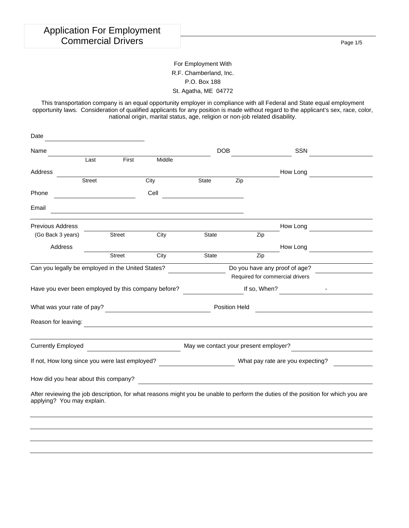Page 1/5

### For Employment With R.F. Chamberland, Inc. P.O. Box 188 St. Agatha, ME 04772

This transportation company is an equal opportunity employer in compliance with all Federal and State equal employment opportunity laws. Consideration of qualified applicants for any position is made without regard to the applicant's sex, race, color, national origin, marital status, age, religion or non-job related disability.

| Date                                                                                                                                                            |               |               |                                         |                                                                                                                      |            |                                  |                                 |  |
|-----------------------------------------------------------------------------------------------------------------------------------------------------------------|---------------|---------------|-----------------------------------------|----------------------------------------------------------------------------------------------------------------------|------------|----------------------------------|---------------------------------|--|
| Name                                                                                                                                                            |               |               |                                         |                                                                                                                      | <b>DOB</b> |                                  | <b>SSN</b>                      |  |
|                                                                                                                                                                 | Last          | First         | Middle                                  |                                                                                                                      |            |                                  |                                 |  |
| Address                                                                                                                                                         |               |               |                                         |                                                                                                                      |            |                                  | How Long                        |  |
|                                                                                                                                                                 | <b>Street</b> |               | City                                    | State                                                                                                                | Zip        |                                  |                                 |  |
| Phone                                                                                                                                                           |               |               | Cell                                    |                                                                                                                      |            |                                  |                                 |  |
| Email                                                                                                                                                           |               |               |                                         |                                                                                                                      |            |                                  |                                 |  |
| <b>Previous Address</b>                                                                                                                                         |               |               |                                         |                                                                                                                      |            |                                  | How Long                        |  |
| (Go Back 3 years)                                                                                                                                               |               | <b>Street</b> | City                                    | <b>State</b>                                                                                                         |            | Zip                              |                                 |  |
| Address                                                                                                                                                         |               |               |                                         |                                                                                                                      |            |                                  | How Long                        |  |
|                                                                                                                                                                 |               | <b>Street</b> | City                                    | State                                                                                                                |            | Zip                              |                                 |  |
| Can you legally be employed in the United States?                                                                                                               |               |               | Do you have any proof of age?           |                                                                                                                      |            |                                  |                                 |  |
|                                                                                                                                                                 |               |               |                                         |                                                                                                                      |            |                                  | Required for commercial drivers |  |
| Have you ever been employed by this company before?                                                                                                             |               |               |                                         |                                                                                                                      |            | If so, When?                     |                                 |  |
|                                                                                                                                                                 |               |               |                                         | Position Held                                                                                                        |            |                                  |                                 |  |
| Reason for leaving:                                                                                                                                             |               |               |                                         |                                                                                                                      |            |                                  |                                 |  |
| <b>Currently Employed</b>                                                                                                                                       |               |               | <u> 1990 - Johann Barbara, martin a</u> | May we contact your present employer?                                                                                |            |                                  |                                 |  |
|                                                                                                                                                                 |               |               |                                         |                                                                                                                      |            |                                  |                                 |  |
| If not, How long since you were last employed?                                                                                                                  |               |               |                                         |                                                                                                                      |            | What pay rate are you expecting? |                                 |  |
| How did you hear about this company?                                                                                                                            |               |               |                                         | <u> 1989 - Johann Stein, marwolaethau a bhann an t-Amhair ann an t-Amhair an t-Amhair an t-Amhair an t-Amhair an</u> |            |                                  |                                 |  |
| After reviewing the job description, for what reasons might you be unable to perform the duties of the position for which you are<br>applying? You may explain. |               |               |                                         |                                                                                                                      |            |                                  |                                 |  |
|                                                                                                                                                                 |               |               |                                         |                                                                                                                      |            |                                  |                                 |  |
|                                                                                                                                                                 |               |               |                                         |                                                                                                                      |            |                                  |                                 |  |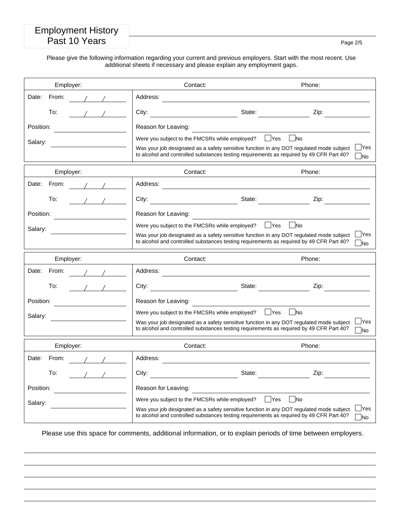## Employment History Past 10 Years Page 2/5

Please give the following information regarding your current and previous employers. Start with the most recent. Use additional sheets if necessary and please explain any employment gaps.

| Employer:                                     | Contact:                                                                                                                                                                                                                               | Phone:                                               |
|-----------------------------------------------|----------------------------------------------------------------------------------------------------------------------------------------------------------------------------------------------------------------------------------------|------------------------------------------------------|
| Date:<br>From:                                | Address:                                                                                                                                                                                                                               |                                                      |
| To:<br>$1$ $1$                                | State:<br>City:                                                                                                                                                                                                                        | Zip:                                                 |
| Position:                                     | Reason for Leaving:                                                                                                                                                                                                                    |                                                      |
| Salary:                                       | Were you subject to the FMCSRs while employed?<br>Was your job designated as a safety sensitive function in any DOT regulated mode subject<br>to alcohol and controlled substances testing requirements as required by 49 CFR Part 40? | $\n  No\n$<br>$\Box$ Yes<br><b>Yes</b><br><b>TNo</b> |
| Employer:                                     | Contact:                                                                                                                                                                                                                               | Phone:                                               |
| Date:<br>From:<br>$\frac{1}{2}$ $\frac{1}{2}$ | Address:<br>the control of the control of the control of                                                                                                                                                                               |                                                      |
| To:                                           | City:                                                                                                                                                                                                                                  | State:<br>Zip:                                       |
| Position:                                     | Reason for Leaving:                                                                                                                                                                                                                    |                                                      |
| Salary:                                       | Were you subject to the FMCSRs while employed?                                                                                                                                                                                         | No<br>  Yes                                          |
|                                               | Was your job designated as a safety sensitive function in any DOT regulated mode subject<br>to alcohol and controlled substances testing requirements as required by 49 CFR Part 40?                                                   | <b>Yes</b><br><b>No</b>                              |
| Employer:                                     | Contact:                                                                                                                                                                                                                               | Phone:                                               |
| Date:<br>From:                                | Address:                                                                                                                                                                                                                               |                                                      |
| To:                                           | City:<br><u> 1990 - Jan James James Jan James James James James James James James James James James James James James James</u>                                                                                                        | State:<br>Zip:                                       |
| Position:                                     | Reason for Leaving:                                                                                                                                                                                                                    |                                                      |
| Salary:<br><u> 1980 - Jan Barbara Barbara</u> | Were you subject to the FMCSRs while employed?                                                                                                                                                                                         | $\overline{\phantom{a}}$ No<br>$\Box$ Yes            |
|                                               | Was your job designated as a safety sensitive function in any DOT regulated mode subject<br>to alcohol and controlled substances testing requirements as required by 49 CFR Part 40?                                                   | <b>Yes</b><br><b>No</b>                              |
| Employer:                                     | Contact:                                                                                                                                                                                                                               | Phone:                                               |
| Date:<br>From:                                | Address:                                                                                                                                                                                                                               |                                                      |
| $\frac{1}{2}$<br>To:                          | City:<br><u> 1990 - Johann Barbara, martin d</u><br>State:                                                                                                                                                                             | Zip:                                                 |
| Position:                                     | Reason for Leaving:                                                                                                                                                                                                                    |                                                      |
| Salary:                                       | Were you subject to the FMCSRs while employed?                                                                                                                                                                                         | $\mathsf{\neg}$ Yes<br>- INo                         |
|                                               | Was your job designated as a safety sensitive function in any DOT regulated mode subject<br>to alcohol and controlled substances testing requirements as required by 49 CFR Part 40?                                                   | <b>IYes</b><br><b>No</b>                             |

Please use this space for comments, additional information, or to explain periods of time between employers.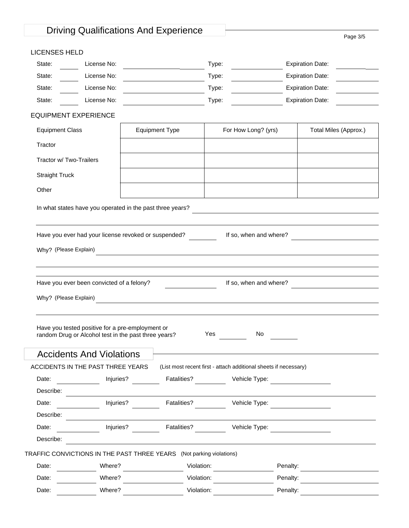# Driving Qualifications And Experience Page 3/5

| LICENSES HELD |  |
|---------------|--|
|---------------|--|

| LIUCINJEJ NELD                    |                                                  |                                                                      |                                                                  |                                                                                                                  |  |
|-----------------------------------|--------------------------------------------------|----------------------------------------------------------------------|------------------------------------------------------------------|------------------------------------------------------------------------------------------------------------------|--|
| State:                            | License No:                                      | the control of the control of the control of                         | Type:                                                            | <b>Expiration Date:</b>                                                                                          |  |
| State:                            | License No:                                      |                                                                      | Type:                                                            | <b>Expiration Date:</b>                                                                                          |  |
| State:                            | License No:                                      | <u> 1980 - Johann Barbara, martxa alemaniar a</u>                    | Type:                                                            | <b>Expiration Date:</b>                                                                                          |  |
| State:                            | License No:                                      | <u> Alban Alban A</u>                                                | Type:                                                            | <b>Expiration Date:</b>                                                                                          |  |
| <b>EQUIPMENT EXPERIENCE</b>       |                                                  |                                                                      |                                                                  |                                                                                                                  |  |
| <b>Equipment Class</b>            |                                                  | <b>Equipment Type</b>                                                | For How Long? (yrs)                                              | Total Miles (Approx.)                                                                                            |  |
| Tractor                           |                                                  |                                                                      |                                                                  |                                                                                                                  |  |
| Tractor w/ Two-Trailers           |                                                  |                                                                      |                                                                  |                                                                                                                  |  |
| <b>Straight Truck</b>             |                                                  |                                                                      |                                                                  |                                                                                                                  |  |
| Other                             |                                                  |                                                                      |                                                                  |                                                                                                                  |  |
|                                   |                                                  | In what states have you operated in the past three years?            |                                                                  | and the control of the control of the control of the control of the control of the control of the control of the |  |
|                                   |                                                  | Have you ever had your license revoked or suspended?                 | If so, when and where?                                           |                                                                                                                  |  |
|                                   |                                                  |                                                                      |                                                                  |                                                                                                                  |  |
| Why? (Please Explain)             |                                                  |                                                                      |                                                                  | <u> 1980 - Johann Stoff, amerikansk politiker (d. 1980)</u>                                                      |  |
|                                   |                                                  |                                                                      |                                                                  |                                                                                                                  |  |
|                                   | Have you ever been convicted of a felony?        |                                                                      | If so, when and where?                                           |                                                                                                                  |  |
| Why? (Please Explain)             |                                                  |                                                                      |                                                                  |                                                                                                                  |  |
|                                   |                                                  |                                                                      |                                                                  |                                                                                                                  |  |
|                                   | Have you tested positive for a pre-employment or | random Drug or Alcohol test in the past three years?                 | Yes<br>No.                                                       |                                                                                                                  |  |
|                                   | <b>Accidents And Violations</b>                  |                                                                      |                                                                  |                                                                                                                  |  |
| ACCIDENTS IN THE PAST THREE YEARS |                                                  |                                                                      | (List most recent first - attach additional sheets if necessary) |                                                                                                                  |  |
| Date:                             | Injuries?                                        | Fatalities?                                                          | Vehicle Type:                                                    |                                                                                                                  |  |
| Describe:                         |                                                  |                                                                      |                                                                  |                                                                                                                  |  |
| Date:                             | Injuries?                                        | Fatalities?                                                          | Vehicle Type:                                                    |                                                                                                                  |  |
| Describe:                         |                                                  |                                                                      |                                                                  |                                                                                                                  |  |
| Date:                             | Injuries?                                        | Fatalities?                                                          | Vehicle Type:                                                    |                                                                                                                  |  |
| Describe:                         |                                                  |                                                                      |                                                                  |                                                                                                                  |  |
|                                   |                                                  | TRAFFIC CONVICTIONS IN THE PAST THREE YEARS (Not parking violations) |                                                                  |                                                                                                                  |  |
| Date:                             | Where?                                           |                                                                      | Violation:                                                       | Penalty:                                                                                                         |  |
| Date:                             | Where?                                           |                                                                      | Violation:                                                       | Penalty:                                                                                                         |  |
| Date:                             | Where?                                           |                                                                      | Violation:                                                       | Penalty:                                                                                                         |  |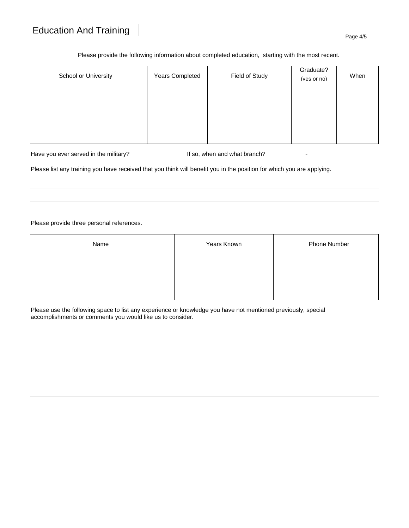## Education And Training Page 4/5

#### Please provide the following information about completed education, starting with the most recent.

| School or University | Years Completed | Field of Study | Graduate?<br>(yes or no) | When |
|----------------------|-----------------|----------------|--------------------------|------|
|                      |                 |                |                          |      |
|                      |                 |                |                          |      |
|                      |                 |                |                          |      |
|                      |                 |                |                          |      |

| Have you ever served in the military? | If so, when and what branch? |  |  |
|---------------------------------------|------------------------------|--|--|
|---------------------------------------|------------------------------|--|--|

Please list any training you have received that you think will benefit you in the position for which you are applying.

Please provide three personal references.

| Name | Years Known | Phone Number |
|------|-------------|--------------|
|      |             |              |
|      |             |              |
|      |             |              |

Please use the following space to list any experience or knowledge you have not mentioned previously, special accomplishments or comments you would like us to consider.